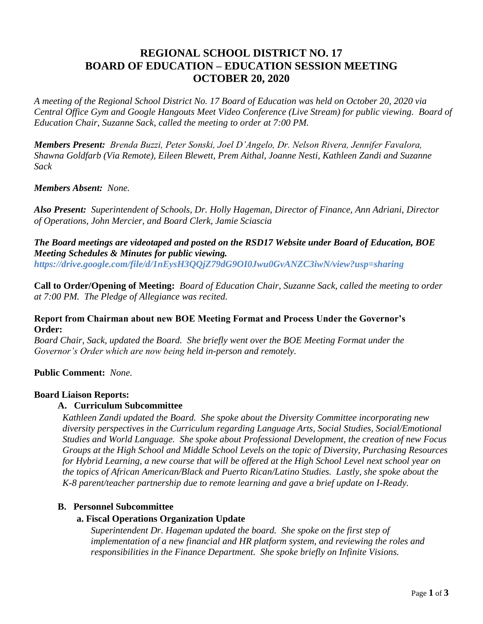# **REGIONAL SCHOOL DISTRICT NO. 17 BOARD OF EDUCATION – EDUCATION SESSION MEETING OCTOBER 20, 2020**

*A meeting of the Regional School District No. 17 Board of Education was held on October 20, 2020 via Central Office Gym and Google Hangouts Meet Video Conference (Live Stream) for public viewing. Board of Education Chair, Suzanne Sack, called the meeting to order at 7:00 PM.*

*Members Present: Brenda Buzzi, Peter Sonski, Joel D'Angelo, Dr. Nelson Rivera, Jennifer Favalora, Shawna Goldfarb (Via Remote), Eileen Blewett, Prem Aithal, Joanne Nesti, Kathleen Zandi and Suzanne Sack*

#### *Members Absent: None.*

*Also Present: Superintendent of Schools, Dr. Holly Hageman, Director of Finance, Ann Adriani, Director of Operations, John Mercier, and Board Clerk, Jamie Sciascia* 

# *The Board meetings are videotaped and posted on the RSD17 Website under Board of Education, BOE Meeting Schedules & Minutes for public viewing.*

*https://drive.google.com/file/d/1nEysH3QQjZ79dG9OI0Jwu0GvANZC3iwN/view?usp=sharing*

**Call to Order/Opening of Meeting:** *Board of Education Chair, Suzanne Sack, called the meeting to order at 7:00 PM. The Pledge of Allegiance was recited.*

## **Report from Chairman about new BOE Meeting Format and Process Under the Governor's Order:**

*Board Chair, Sack, updated the Board. She briefly went over the BOE Meeting Format under the Governor's Order which are now being held in-person and remotely.* 

# **Public Comment:** *None.*

#### **Board Liaison Reports:**

# **A. Curriculum Subcommittee**

*Kathleen Zandi updated the Board. She spoke about the Diversity Committee incorporating new diversity perspectives in the Curriculum regarding Language Arts, Social Studies, Social/Emotional Studies and World Language. She spoke about Professional Development, the creation of new Focus Groups at the High School and Middle School Levels on the topic of Diversity, Purchasing Resources for Hybrid Learning, a new course that will be offered at the High School Level next school year on the topics of African American/Black and Puerto Rican/Latino Studies. Lastly, she spoke about the K-8 parent/teacher partnership due to remote learning and gave a brief update on I-Ready.*

#### **B. Personnel Subcommittee**

#### **a. Fiscal Operations Organization Update**

*Superintendent Dr. Hageman updated the board. She spoke on the first step of implementation of a new financial and HR platform system, and reviewing the roles and responsibilities in the Finance Department. She spoke briefly on Infinite Visions.*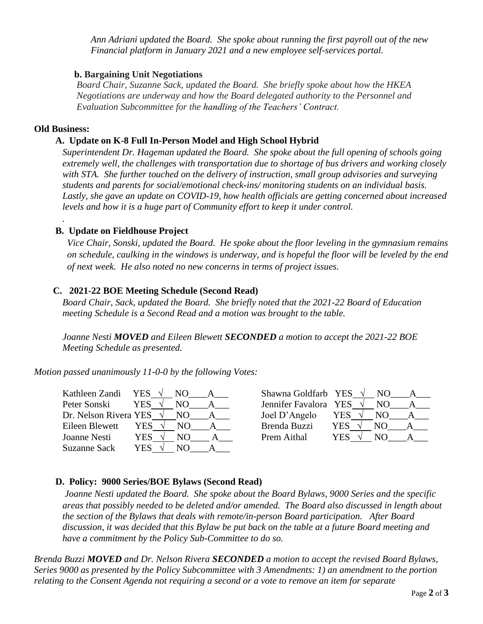*Ann Adriani updated the Board. She spoke about running the first payroll out of the new Financial platform in January 2021 and a new employee self-services portal.*

#### **b. Bargaining Unit Negotiations**

*Board Chair, Suzanne Sack, updated the Board. She briefly spoke about how the HKEA Negotiations are underway and how the Board delegated authority to the Personnel and Evaluation Subcommittee for the handling of the Teachers' Contract.*

#### **Old Business:**

*.*

## **A. Update on K-8 Full In-Person Model and High School Hybrid**

*Superintendent Dr. Hageman updated the Board. She spoke about the full opening of schools going extremely well, the challenges with transportation due to shortage of bus drivers and working closely with STA. She further touched on the delivery of instruction, small group advisories and surveying students and parents for social/emotional check-ins/ monitoring students on an individual basis. Lastly, she gave an update on COVID-19, how health officials are getting concerned about increased levels and how it is a huge part of Community effort to keep it under control.* 

# **B. Update on Fieldhouse Project**

 *Vice Chair, Sonski, updated the Board. He spoke about the floor leveling in the gymnasium remains on schedule, caulking in the windows is underway, and is hopeful the floor will be leveled by the end of next week. He also noted no new concerns in terms of project issues.* 

# **C. 2021-22 BOE Meeting Schedule (Second Read)**

*Board Chair, Sack, updated the Board. She briefly noted that the 2021-22 Board of Education meeting Schedule is a Second Read and a motion was brought to the table.*

*Joanne Nesti MOVED and Eileen Blewett SECONDED a motion to accept the 2021-22 BOE Meeting Schedule as presented.*

*Motion passed unanimously 11-0-0 by the following Votes:*

| Kathleen Zandi YES $\sqrt{}$ |      | NO. | Shawna Goldfarb YES   |            |     |  |
|------------------------------|------|-----|-----------------------|------------|-----|--|
| Peter Sonski                 | YES. | N() | Jennifer Favalora YES |            | NO. |  |
| Dr. Nelson Rivera YES        |      | NO. | Joel D'Angelo         | YES ·      | NO. |  |
| Eileen Blewett               | YES  | NO. | Brenda Buzzi          | <b>YES</b> | NO. |  |
| Joanne Nesti                 | YES. | NO  | Prem Aithal           | YES        | NO. |  |
| Suzanne Sack                 | YES  | N() |                       |            |     |  |

| Shawna Goldfarb YES   |     | NO. |  |
|-----------------------|-----|-----|--|
| Jennifer Favalora YES |     | NΟ  |  |
| Joel D'Angelo         | YES | NO. |  |
| Brenda Buzzi          | YES | NΟ  |  |
| Prem Aithal           | YES | NΩ  |  |

# **D. Policy: 9000 Series/BOE Bylaws (Second Read)**

 *Joanne Nesti updated the Board. She spoke about the Board Bylaws, 9000 Series and the specific areas that possibly needed to be deleted and/or amended. The Board also discussed in length about the section of the Bylaws that deals with remote/in-person Board participation. After Board discussion, it was decided that this Bylaw be put back on the table at a future Board meeting and have a commitment by the Policy Sub-Committee to do so.*

*Brenda Buzzi MOVED and Dr. Nelson Rivera SECONDED a motion to accept the revised Board Bylaws, Series 9000 as presented by the Policy Subcommittee with 3 Amendments: 1) an amendment to the portion relating to the Consent Agenda not requiring a second or a vote to remove an item for separate*